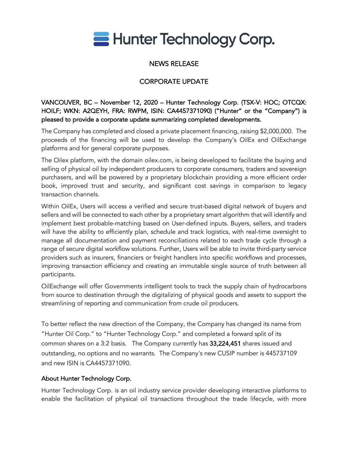

# NEWS RELEASE

# CORPORATE UPDATE

VANCOUVER, BC – November 12, 2020 – Hunter Technology Corp. (TSX-V: HOC; OTCQX: HOILF; WKN: A2QEYH, FRA: RWPM, ISIN: CA4457371090) ("Hunter" or the "Company") is pleased to provide a corporate update summarizing completed developments.

The Company has completed and closed a private placement financing, raising \$2,000,000. The proceeds of the financing will be used to develop the Company's OilEx and OilExchange platforms and for general corporate purposes.

The Oilex platform, with the domain oilex.com, is being developed to facilitate the buying and selling of physical oil by independent producers to corporate consumers, traders and sovereign purchasers, and will be powered by a proprietary blockchain providing a more efficient order book, improved trust and security, and significant cost savings in comparison to legacy transaction channels.

Within OilEx, Users will access a verified and secure trust-based digital network of buyers and sellers and will be connected to each other by a proprietary smart algorithm that will identify and implement best probable-matching based on User-defined inputs. Buyers, sellers, and traders will have the ability to efficiently plan, schedule and track logistics, with real-time oversight to manage all documentation and payment reconciliations related to each trade cycle through a range of secure digital workflow solutions. Further, Users will be able to invite third-party service providers such as insurers, financiers or freight handlers into specific workflows and processes, improving transaction efficiency and creating an immutable single source of truth between all participants.

OilExchange will offer Governments intelligent tools to track the supply chain of hydrocarbons from source to destination through the digitalizing of physical goods and assets to support the streamlining of reporting and communication from crude oil producers.

To better reflect the new direction of the Company, the Company has changed its name from "Hunter Oil Corp." to "Hunter Technology Corp." and completed a forward split of its common shares on a 3:2 basis. The Company currently has 33,224,451 shares issued and outstanding, no options and no warrants. The Company's new CUSIP number is 445737109 and new ISIN is CA4457371090.

### About Hunter Technology Corp.

Hunter Technology Corp. is an oil industry service provider developing interactive platforms to enable the facilitation of physical oil transactions throughout the trade lifecycle, with more